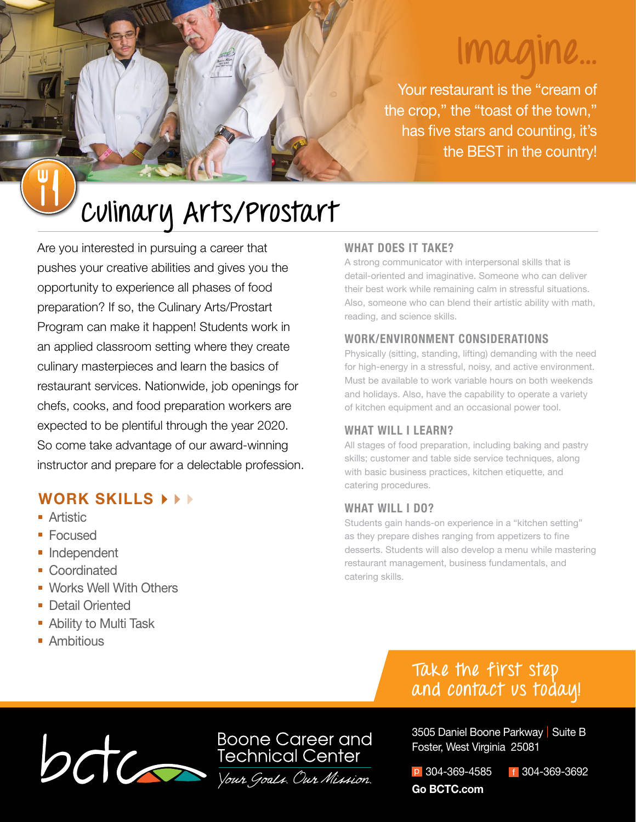# **Imagine...**

Your restaurant is the "cream of the crop," the "toast of the town," has five stars and counting, it's the BEST in the country!

# **Culinary Arts/Prostart**

Are you interested in pursuing a career that pushes your creative abilities and gives you the opportunity to experience all phases of food preparation? If so, the Culinary Arts/Prostart Program can make it happen! Students work in an applied classroom setting where they create culinary masterpieces and learn the basics of restaurant services. Nationwide, job openings for chefs, cooks, and food preparation workers are expected to be plentiful through the year 2020. So come take advantage of our award-winning instructor and prepare for a delectable profession.

# **WORK SKILLS**

- **Artistic**
- Focused
- **Independent**
- Coordinated
- **Works Well With Others**
- **Detail Oriented**
- **Ability to Multi Task**
- **Ambitious**

### **WHAT DOES IT TAKE?**

A strong communicator with interpersonal skills that is detail-oriented and imaginative. Someone who can deliver their best work while remaining calm in stressful situations. Also, someone who can blend their artistic ability with math, reading, and science skills.

### **WORK/ENVIRONMENT CONSIDERATIONS**

Physically (sitting, standing, lifting) demanding with the need for high-energy in a stressful, noisy, and active environment. Must be available to work variable hours on both weekends and holidays. Also, have the capability to operate a variety of kitchen equipment and an occasional power tool.

### **WHAT WILL I LEARN?**

All stages of food preparation, including baking and pastry skills; customer and table side service techniques, along with basic business practices, kitchen etiquette, and catering procedures.

#### **WHAT WILL I DO?**

Students gain hands-on experience in a "kitchen setting" as they prepare dishes ranging from appetizers to fine desserts. Students will also develop a menu while mastering restaurant management, business fundamentals, and catering skills.

# **Take the first step and contact us today!**



3505 Daniel Boone Parkway | Suite B Foster, West Virginia 25081

p 304-369-4585 f 304-369-3692 **Go BCTC.com**